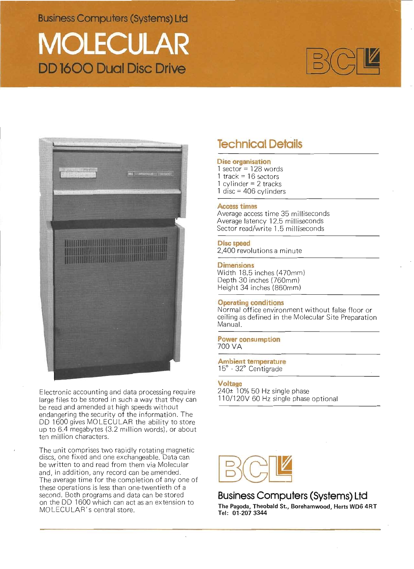**Business Computers (Systems) Ltd** 

# **MOLECULAR DD 1600 Dual Disc Drive**





Electronic accounting and data processing require large files to be stored in such a way that they can be read and amended at high speeds without endangering the security of the information. The DD 1600 gives MOLECULAR the ability to store up to 6.4 megabytes (3.2 million words), or about ten million characters.

The unit comprises two rapidly rotating magnetic discs, one fixed and one exchangeable. Data can be written to and read from them via Molecular and, in addition, any record can be amended. The average time for the completion of any one of these operations is less than one-twentieth of a second. Both programs and data can be stored on the DD 1600 which can act as an extension to MOLECULAR's central store.

## **Technical Details**

## **Disc organisation**

1 sector =  $128$  words 1 track =  $16$  sectors 1 cylinder =  $2$  tracks  $1$  disc = 406 cylinders

## **Access times**

Average access time 35 milliseconds Average latency 12.5 milliseconds Sector read/write 1.5 milliseconds

## Disc speed

2,400 revolutions a minute

## **Dimensions**

Width 18.5 inches (470mm) Depth 30 inches (760mm) Height 34 inches (860mm)

## **Operating conditions**

Normal office environment without false floor or ceiling as defined in the Molecular Site Preparation Manual.

## **Power consumption** 700 VA

Ambient temperature<br>15° - 32° Centigrade

## Voltage

240± 10% 50 Hz single phase 110/120V 60 Hz single phase optional



## Business Computers (Systems) Ltd

The Pagoda, Theobald St., Borehamwood, Herts WD6 4RT Tel: 01-207 3344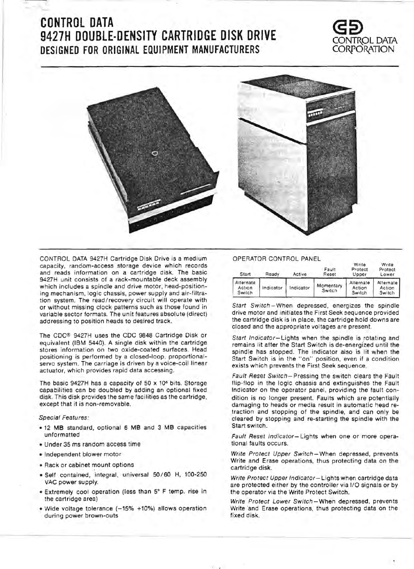## **CONTROL DATA (52) 9427H DOUBLE-DENSITY CARTRIDGE DISK DRIVE** CONTf\OL DATA DESIGNED FOR ORIGINAL EQUIPMENT MANUFACTURERS





CONTROL DATA 9427H Cartridge Disk Drive is a medium capacity, random-access storage device which records and reads information on a cartridge disk. The basic 9427H unit consists of a rack-mountable deck assembly which includes a spindle and drive motor, head-positioning mechanism, logic chassis, power supply and air-filtration system. The read/recovery circuit will operate with or without missing clock patterns such as those found in variable sector formats. The unit features absolute (direct) addressing to position heads to desired track.

The CDC® 9427H uses the CDC 9848 Cartridge Disk or equivalent (IBM 5440). A Single disk within the cartridge stores information on two oxide-coated surfaces. Head positioning is performed by a closed-loop, proportionalservo system. The carriage is driven by a voice-coil linear actuator, which provides rapid data accessing.

The basic 9427H has a capacity of 50 x 10<sup>6</sup> bits. Storage capabilities can be doubled by adding an optional fixed disk. This disk provides the same facilities as the cartridge, except that it is non-removable.

#### Special Features:

- 12 MB standard, optional 6 MB and 3 MB capacities unformatted
- Under 35 ms random access time
- Independent blower motor
- Rack or cabinet mount options
- Self contained, integral, universal 50/60 H, 100-250 VAC power supply.
- Extremely cool operation (less than 5° F temp. rise in the cartridge area)
- Wide voltage tolerance (-15% +10%) allows operation during power brown-outs

### OPERATOR CONTROL PANEL

| Start                         | Ready     | Active    | Fault<br>Reset      | Write<br>Protect<br>Upper     | Write<br>Protect<br>Lower<br>Alternate<br>Action<br>Switch |  |  |
|-------------------------------|-----------|-----------|---------------------|-------------------------------|------------------------------------------------------------|--|--|
| Alternate<br>Action<br>Switch | Indicator | Indicator | Momentary<br>Switch | Alternate<br>Action<br>Switch |                                                            |  |  |

Start Switch- When depressed, energizes the spindle drive motor and initiates the First Seek sequence provided the cartridge disk is in place. the cartridge hold downs are closed and the appropriate voltages are present.

Start Indicator-Lights when the spindle is rotating and remains lit after the Start Switch is de-energized until the spindle has stopped. The indicator also is lit when the Start Switch is in the "on" position, ever. if a condition exists which prevents the First Seek sequence.

Fault Reset Switch-Pressing the switch clears the Fault flip-flop in the logic chassis and extinguishes the Fault Indicator on the operator panel, providing the fault condition is no longer present. Faults which are potentially damaging to heads or media result in automatic head retraction and stopping of the spindle, and can only be cleared by stopping and re-starting the spindle with the Start switch.

Fault Reset Indicator- Lights when one or more operational faults occurs.

Write Protect Upper Switch-When depressed, prevents Write and Erase operations. thus protecting data on the cartridge disk.

Write Protect Upper Indicator-Lights when cartridge data are protected either by the controller via I/O signals or by the operator via the Write Protect Switch.

Write Protect Lower Switch-When depressed, prevents Write 'and Erase operations, thus protecting data on the fixed disk.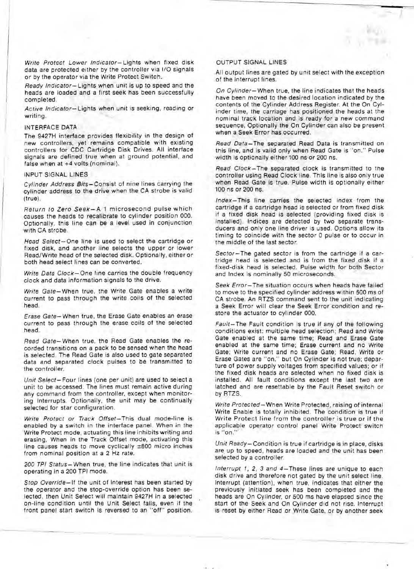Write Protect Lower Indicator- Lights when fixed disk data are protected either by the controller via I/O signals or by the operator via the Write Protect Switch.

Ready Indicator- Lights when unit is up to speed and the heads are loaded and a first seek has been successfully completed.

Active Indicator-Lights when unit is seeking, reading or writing.

### INTERFACE DATA

The 9427H interface provides flexibility in the design of new controllers, yet remains compatible with existing controllers for CDC Cartridge Disk Drives. All interface signals are defined true when at ground potential, and false when at +4 volts (nominal).

#### INPUT SIGNAL LINES

Cylinder Address Bits-Consist of nine lines carrying the cylinder address to the drive when the CA strobe is valid (true).

Return to Zero Seek-A 1 microsecond pulse which causes the heads to recalibrate to cylinder position 000. Optionally, this line can be a level used in conjunction with CA strobe.

Head Select-One line is used to select the cartridge or fixed disk, and another line selects the upper or lower Read/Write head of the selected disk. Optionally, either or both head select lines can be converted.

Write Data Clock-One line carries the double frequency clock and data information signals to the drive.

Write Gate- When true, the Write Gate enables a write current to pass through the write coils of the selected head.

Erase Gate- When true, the Erase Gate enables an erase current to pass through the erase coils of the selected head.

Read Gate- When true, the Read Gate enables the recorded transitions on a pack to be sensed when the head is selected. The Read Gate is also used to gate separated data and separated clock pulses to be transmitted to the controller.

Unit Select-Four lines (one per unit) are used to select a unit to be accessed. The lines must remain active during any command from the controller, except when monitoring Interrupts. Optionally, the unit may be continually selected for star configuration.

Write Protect or Track Offset-This dual mode-line is enabled by a switch in the interface panel. When in the Write Protect mode, actuating this line inhibits writing and erasing. When in the Track Offset mode, activating this line causes heads to move cyclically  $\pm 800$  micro inches from nominal position at a 2 Hz rate.

200 TPI Status- When true, the line indicates that unit is operating in a 200 TPI mode.

Stop Override-If the unit of interest has been started by the operator and the stop-override option has been selected, then Unit Select will maintain 9427H in a selected on-line condition until the Unit Select falls, even if the front panel start switch is reversed to an "off" position.

## OUTPUT SIGNAL LINES

All output lines are gated by unit select with the exception of the Interrupt lines.

On Cylinder- When true, the line indicates that the heads have been moved to the desired location indicated by the contents of the Cylinder Address Register. At the On Cylinder time, the carriage has positioned the heads at the nominal track location and is ready for a new command sequence. Optionally the On Cylinder can also be present when a Seek Error has occurred.

Read Data-The separated Read Data is transmitted on this line, and is valid only when Read Gate is "on." Pulse width is optionally either 100 ns or 200 ns.

Read Clock-The separated clock is transmitted to the controller using Read Clock line. This line is also only true when Read Gate is true. Pulse width is optionally either 100 ns or 200 ns.

Index- This line carries the selected index from the cartridge if a cartridge head is selected or from fixed disk if a fixed disk head is selected (providing fixed disk is installed). Indices are detected by two separate transducers and only one line driver is used. Options allow its timing to coincide with the sector 0 pulse or to occur in the middle of the last sector.

Sector-The gated sector is from the cartridge if a cartridge head is selected and is from the fixed disk if a fixed-diSk head is selected. Pulse width for both Sector and Index is nominally 50 microseconds.

Seek Error- The situation occurs when heads have failed to move to the specified cylinder address within 500 ms of CA strobe. An RTZS command sent to the unit indicating a Seek Error will clear the Seek Error condition and restore the actuator to cylinder 000.

Fault-The Fault condition is true if any of the following conditions exist: multiple head selection; Read and Write Gate enabled at the same time; Read and Erase Gate enabled at the same time; Erase current and no Write Gate; Write current and no Erase Gate; Read, Write or Erase Gates are "on," but On Cylinder is not true; departure of power supply voltages from specified values; or if the fixed disk heads are selected when no fixed disk is installed. All fault conditions except the last two are latched and are resettable by the Fault Reset switch or by RTZS.

Write Protected- When Write Protected, raising of internal Write Enable is totally inhibited. The condition is true if Write Protect line from the controller is true or if the applicable operator control panel Write Protect switch is "on."

Unit Ready- Condition is true if cartridge is in place, disks are up to speed, heads are loaded and the unit has been selected by a controller.

Interrupt 1, 2, 3 and 4-These lines are unique to each disk drive and therefore not gated by the unit select line. Interrupt (attention), when true, indicates that either the previously initiated seek has been completed and the heads are On Cylinder, or 500 ms have elapsed since the start of the Seek and On Cylinder did not rise. Interrupt is reset by either Read or Write Gate, or by another seek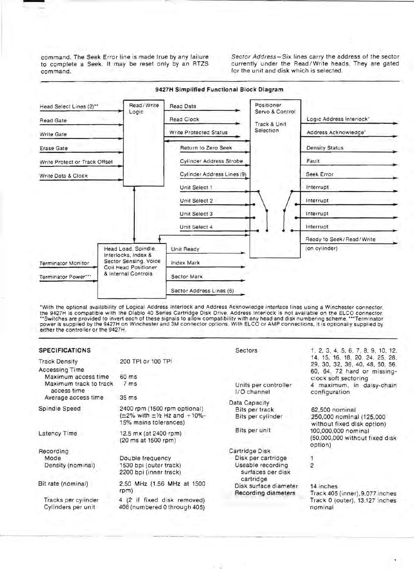to complete a Seek. It may be reset only by an RTZS command. **for the unit and disk which is selected.** 

command. The Seek Error line is made true by any failure Sector Address - Six lines carry the address of the sector<br>to complete a Seek. It may be reset only by an RTZS currently under the Read/Write heads. They are gated



'With the optional availability of Logical Address Interlock and Address Acknowledge interface lines using a Winchester connector, the 9427H is compatible with the Diablo 40 Series Cartridge Disk Drive. Address Interlock is not available on the ELCO connector.<br>\*\*Switches are provided to invert each of these signals to allow compatibility with any head power is supplied by the 9427H on Winchester and 3M connector options. With ELCO or AMP connections, it is optionally supplied by either the controller or the 9427H.

| <b>SPECIFICATIONS</b>                                                                                    |                                                                                                     | <b>Sectors</b>                                       | 1, 2, 3, 4, 5, 6, 7, 8, 9, 10, 12,                                                                |  |  |  |  |
|----------------------------------------------------------------------------------------------------------|-----------------------------------------------------------------------------------------------------|------------------------------------------------------|---------------------------------------------------------------------------------------------------|--|--|--|--|
| <b>Track Density</b><br>Accessing Time                                                                   | 200 TPI or 100 TPI                                                                                  |                                                      | 14, 15, 16, 18, 20, 24, 25, 28,<br>29, 30, 32, 36, 40, 48, 50, 56,<br>60, 64, 72 hard or missing- |  |  |  |  |
| Maximum access time                                                                                      | 60 ms                                                                                               |                                                      | clock soft sectoring                                                                              |  |  |  |  |
| Maximum track to track<br>access time                                                                    | 7 <sub>ms</sub>                                                                                     | Units per controller<br>I/O channel                  | 4 maximum, in daisy-chain<br>configuration                                                        |  |  |  |  |
| 35 ms<br>Average access time                                                                             |                                                                                                     |                                                      |                                                                                                   |  |  |  |  |
| Spindle Speed                                                                                            | 2400 rpm (1500 rpm optional)<br>$(\pm 2\%$ with $\pm 1/2$ Hz and $+10\%$ -<br>15% mains tolerances) | Data Capacity<br>Bits per track<br>Bits per cylinder | 62,500 nominal<br>250,000 nominal (125,000<br>without fixed disk option)                          |  |  |  |  |
| Latency Time<br>12.5 mx (at 2400 rpm)<br>(20 ms at 1500 rpm)                                             |                                                                                                     | Bits per unit                                        | 100,000,000 nominal<br>(50,000,000 without fixed disk<br>option)                                  |  |  |  |  |
| Recording                                                                                                |                                                                                                     | Cartridge Disk                                       |                                                                                                   |  |  |  |  |
| Mode                                                                                                     | Double frequency                                                                                    | Disk per cartridge                                   |                                                                                                   |  |  |  |  |
| Density (nominal)                                                                                        | 1530 bpi (outer track)<br>2200 bpi (inner track)                                                    | Useable recording<br>surfaces per disk<br>cartridge  | 2                                                                                                 |  |  |  |  |
| Bit rate (nominal)                                                                                       | 2.50 MHz (1.56 MHz at 1500<br>rpm)                                                                  | Disk surface diameter<br>Recording diameters         | 14 inches<br>Track 405 (inner), 9.077 inches                                                      |  |  |  |  |
| Tracks per cylinder<br>4 (2 if fixed disk removed)<br>Cylinders per unit<br>406 (numbered 0 through 405) |                                                                                                     |                                                      | Track 0 (outer), 13.127 inches<br>nominal                                                         |  |  |  |  |
|                                                                                                          |                                                                                                     |                                                      |                                                                                                   |  |  |  |  |

---- ----.- - ..- --

## 9427H Simplified Functional Block Diagram